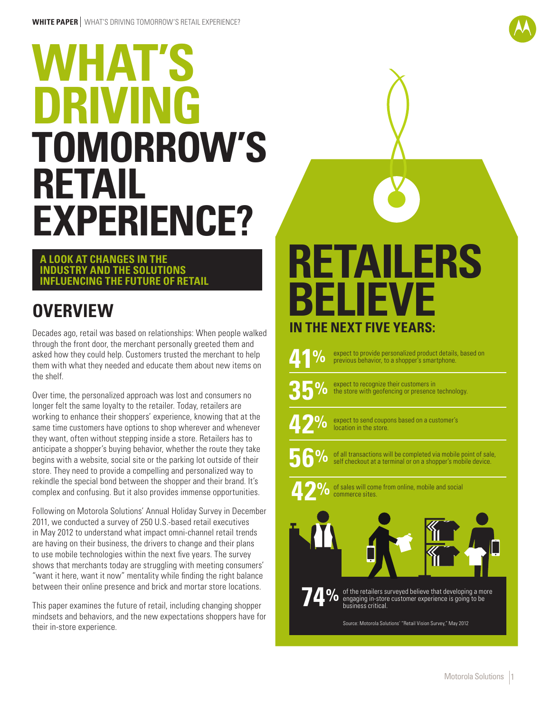# **TOMORROW'S RETAIL EXPERIENCE? WHAT'S DRIVING**

#### **A LOOK AT CHANGES IN THE INDUSTRY AND THE SOLUTIONS INFLUENCING THE FUTURE OF RETAIL**

# **OVERVIEW**

Decades ago, retail was based on relationships: When people walked through the front door, the merchant personally greeted them and asked how they could help. Customers trusted the merchant to help them with what they needed and educate them about new items on the shelf.

Over time, the personalized approach was lost and consumers no longer felt the same loyalty to the retailer. Today, retailers are working to enhance their shoppers' experience, knowing that at the same time customers have options to shop wherever and whenever they want, often without stepping inside a store. Retailers has to anticipate a shopper's buying behavior, whether the route they take begins with a website, social site or the parking lot outside of their store. They need to provide a compelling and personalized way to rekindle the special bond between the shopper and their brand. It's complex and confusing. But it also provides immense opportunities.

Following on Motorola Solutions' Annual Holiday Survey in December 2011, we conducted a survey of 250 U.S.-based retail executives in May 2012 to understand what impact omni-channel retail trends are having on their business, the drivers to change and their plans to use mobile technologies within the next five years. The survey shows that merchants today are struggling with meeting consumers' "want it here, want it now" mentality while finding the right balance between their online presence and brick and mortar store locations.

This paper examines the future of retail, including changing shopper mindsets and behaviors, and the new expectations shoppers have for their in-store experience.

# **RETAILERS BEVE IN THE NEXT FIVE YEARS:**

**41%**

expect to provide personalized product details, based on previous behavior, to a shopper's smartphone.



expect to recognize their customers in the store with geofencing or presence technology.



expect to send coupons based on a customer's location in the store.



of all transactions will be completed via mobile point of sale, self checkout at a terminal or on a shopper's mobile device.





of the retailers surveyed believe that developing a more engaging in-store customer experience is going to be engaging in-store customer experience is going to be<br>business critical. **74%**

Source: Motorola Solutions' "Retail Vision Survey," May 2012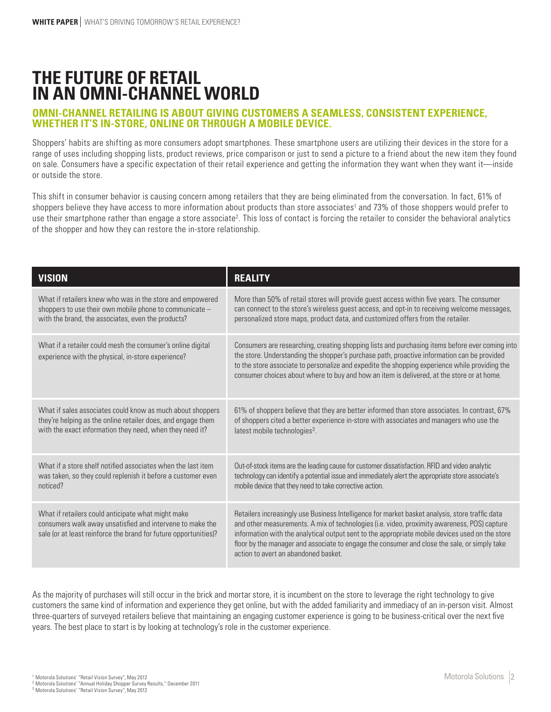### **THE FUTURE OF RETAIL IN AN OMNI-CHANNEL WORLD**

#### **OMNI-CHANNEL RETAILING IS ABOUT GIVING CUSTOMERS A SEAMLESS, CONSISTENT EXPERIENCE, WHETHER IT'S IN-STORE, ONLINE OR THROUGH A MOBILE DEVICE.**

Shoppers' habits are shifting as more consumers adopt smartphones. These smartphone users are utilizing their devices in the store for a range of uses including shopping lists, product reviews, price comparison or just to send a picture to a friend about the new item they found on sale. Consumers have a specific expectation of their retail experience and getting the information they want when they want it—inside or outside the store.

This shift in consumer behavior is causing concern among retailers that they are being eliminated from the conversation. In fact, 61% of shoppers believe they have access to more information about products than store associates' and 73% of those shoppers would prefer to use their smartphone rather than engage a store associate<sup>2</sup>. This loss of contact is forcing the retailer to consider the behavioral analytics of the shopper and how they can restore the in-store relationship.

| <b>VISION</b>                                                                                                                                                                       | <b>REALITY</b>                                                                                                                                                                                                                                                                                                                                                                                                                             |
|-------------------------------------------------------------------------------------------------------------------------------------------------------------------------------------|--------------------------------------------------------------------------------------------------------------------------------------------------------------------------------------------------------------------------------------------------------------------------------------------------------------------------------------------------------------------------------------------------------------------------------------------|
| What if retailers knew who was in the store and empowered                                                                                                                           | More than 50% of retail stores will provide guest access within five years. The consumer                                                                                                                                                                                                                                                                                                                                                   |
| shoppers to use their own mobile phone to communicate -                                                                                                                             | can connect to the store's wireless guest access, and opt-in to receiving welcome messages,                                                                                                                                                                                                                                                                                                                                                |
| with the brand, the associates, even the products?                                                                                                                                  | personalized store maps, product data, and customized offers from the retailer.                                                                                                                                                                                                                                                                                                                                                            |
| What if a retailer could mesh the consumer's online digital<br>experience with the physical, in-store experience?                                                                   | Consumers are researching, creating shopping lists and purchasing items before ever coming into<br>the store. Understanding the shopper's purchase path, proactive information can be provided<br>to the store associate to personalize and expedite the shopping experience while providing the<br>consumer choices about where to buy and how an item is delivered, at the store or at home.                                             |
| What if sales associates could know as much about shoppers                                                                                                                          | 61% of shoppers believe that they are better informed than store associates. In contrast, 67%                                                                                                                                                                                                                                                                                                                                              |
| they're helping as the online retailer does, and engage them                                                                                                                        | of shoppers cited a better experience in-store with associates and managers who use the                                                                                                                                                                                                                                                                                                                                                    |
| with the exact information they need, when they need it?                                                                                                                            | latest mobile technologies <sup>3</sup> .                                                                                                                                                                                                                                                                                                                                                                                                  |
| What if a store shelf notified associates when the last item                                                                                                                        | Out-of-stock items are the leading cause for customer dissatisfaction. RFID and video analytic                                                                                                                                                                                                                                                                                                                                             |
| was taken, so they could replenish it before a customer even                                                                                                                        | technology can identify a potential issue and immediately alert the appropriate store associate's                                                                                                                                                                                                                                                                                                                                          |
| noticed?                                                                                                                                                                            | mobile device that they need to take corrective action.                                                                                                                                                                                                                                                                                                                                                                                    |
| What if retailers could anticipate what might make<br>consumers walk away unsatisfied and intervene to make the<br>sale (or at least reinforce the brand for future opportunities)? | Retailers increasingly use Business Intelligence for market basket analysis, store traffic data<br>and other measurements. A mix of technologies (i.e. video, proximity awareness, POS) capture<br>information with the analytical output sent to the appropriate mobile devices used on the store<br>floor by the manager and associate to engage the consumer and close the sale, or simply take<br>action to avert an abandoned basket. |

As the majority of purchases will still occur in the brick and mortar store, it is incumbent on the store to leverage the right technology to give customers the same kind of information and experience they get online, but with the added familiarity and immediacy of an in-person visit. Almost three-quarters of surveyed retailers believe that maintaining an engaging customer experience is going to be business-critical over the next five years. The best place to start is by looking at technology's role in the customer experience.

<sup>1</sup> Motorola Solutions' "Retail Vision Survey", May 2012<br><sup>2</sup> Motorola Solutions' "Annual Holiday Shopper Survey Results," December 2011<br><sup>3</sup> Motorola Solutions' "Retail Vision Survey", May 2012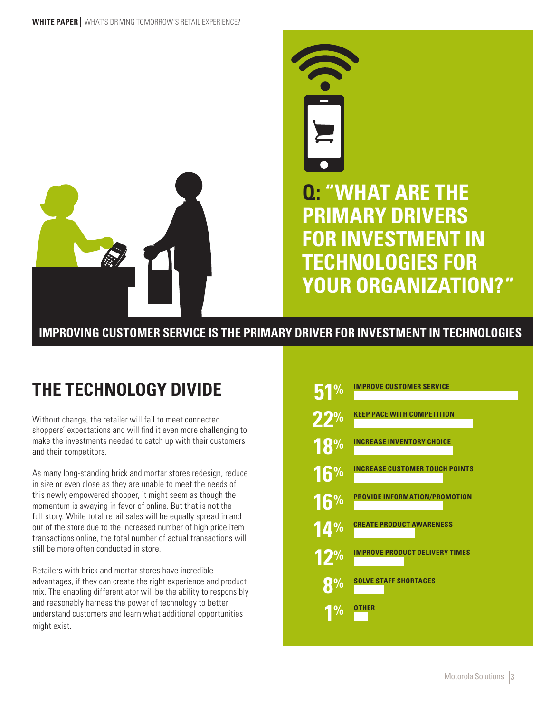



### **IMPROVING CUSTOMER SERVICE IS THE PRIMARY DRIVER FOR INVESTMENT IN TECHNOLOGIES**

# **THE TECHNOLOGY DIVIDE**

Without change, the retailer will fail to meet connected shoppers' expectations and will find it even more challenging to make the investments needed to catch up with their customers and their competitors.

As many long-standing brick and mortar stores redesign, reduce in size or even close as they are unable to meet the needs of this newly empowered shopper, it might seem as though the momentum is swaying in favor of online. But that is not the full story. While total retail sales will be equally spread in and out of the store due to the increased number of high price item transactions online, the total number of actual transactions will still be more often conducted in store.

Retailers with brick and mortar stores have incredible advantages, if they can create the right experience and product mix. The enabling differentiator will be the ability to responsibly and reasonably harness the power of technology to better understand customers and learn what additional opportunities might exist.

| <b>IMPROVE CUSTOMER SERVICE</b>       |
|---------------------------------------|
| <b>KEEP PACE WITH COMPETITION</b>     |
| <b>INCREASE INVENTORY CHOICE</b>      |
| <b>INCREASE CUSTOMER TOUCH POINTS</b> |
| <b>PROVIDE INFORMATION/PROMOTION</b>  |
| <b>CREATE PRODUCT AWARENESS</b>       |
| <b>IMPROVE PRODUCT DELIVERY TIMES</b> |
| <b>SOLVE STAFF SHORTAGES</b>          |
| <b>OTHER</b>                          |
|                                       |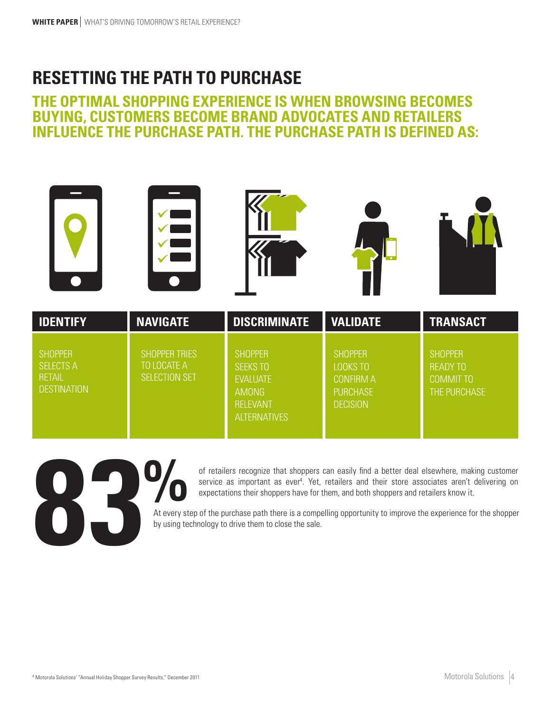### **RESETTING THE PATH TO PURCHASE**

### **THE OPTIMAL SHOPPING EXPERIENCE IS WHEN BROWSING BECOMES BUYING, CUSTOMERS BECOME BRAND ADVOCATES AND RETAILERS INFLUENCE THE PURCHASE PATH. THE PURCHASE PATH IS DEFINED AS:**

| <b>IDENTIFY</b>                                                           | <b>NAVIGATE</b>                                      | <b>DISCRIMINATE</b>                                                                                            | <b>VALIDATE</b>                                                                      | <b>TRANSACT</b>                                                       |
|---------------------------------------------------------------------------|------------------------------------------------------|----------------------------------------------------------------------------------------------------------------|--------------------------------------------------------------------------------------|-----------------------------------------------------------------------|
| <b>SHOPPER</b><br><b>SELECTS A</b><br><b>RETAIL</b><br><b>DESTINATION</b> | <b>SHOPPER TRIES</b><br>TO LOCATE A<br>SELECTION SET | <b>SHOPPER</b><br><b>SEEKS TO</b><br><b>EVALUATE</b><br><b>AMONG</b><br><b>RELEVANT</b><br><b>ALTERNATIVES</b> | <b>SHOPPER</b><br>LOOKS TO<br><b>CONFIRM A</b><br><b>PURCHASE</b><br><b>DECISION</b> | <b>SHOPPER</b><br><b>READY TO</b><br><b>COMMIT TO</b><br>THE PURCHASE |



of retailers recognize that shoppers can easily find a better deal elsewhere, making customer service as important as ever<sup>4</sup>. Yet, retailers and their store associates aren't delivering on expectations their shoppers have for them, and both shoppers and retailers know it.

At every step of the purchase path there is a compelling opportunity to improve the experience for the shopper by using technology to drive them to close the sale.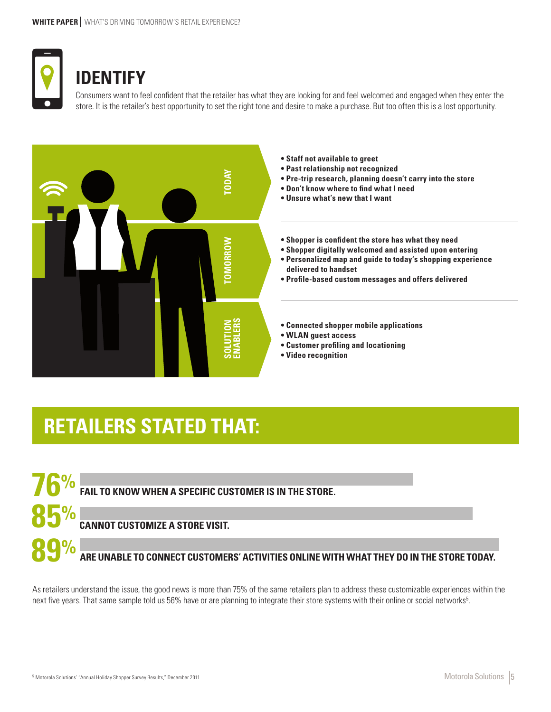

**85%**

**89%**

### **IDENTIFY**

Consumers want to feel confident that the retailer has what they are looking for and feel welcomed and engaged when they enter the store. It is the retailer's best opportunity to set the right tone and desire to make a purchase. But too often this is a lost opportunity.



 $\frac{1}{\sqrt{6}}$ % FAIL TO KNOW WHEN A SPECIFIC CUSTOMER IS IN THE STORE.

#### **CANNOT CUSTOMIZE A STORE VISIT.**

**ARE UNABLE TO CONNECT CUSTOMERS' ACTIVITIES ONLINE WITH WHAT THEY DO IN THE STORE TODAY.**

As retailers understand the issue, the good news is more than 75% of the same retailers plan to address these customizable experiences within the next five years. That same sample told us 56% have or are planning to integrate their store systems with their online or social networks<sup>5</sup>.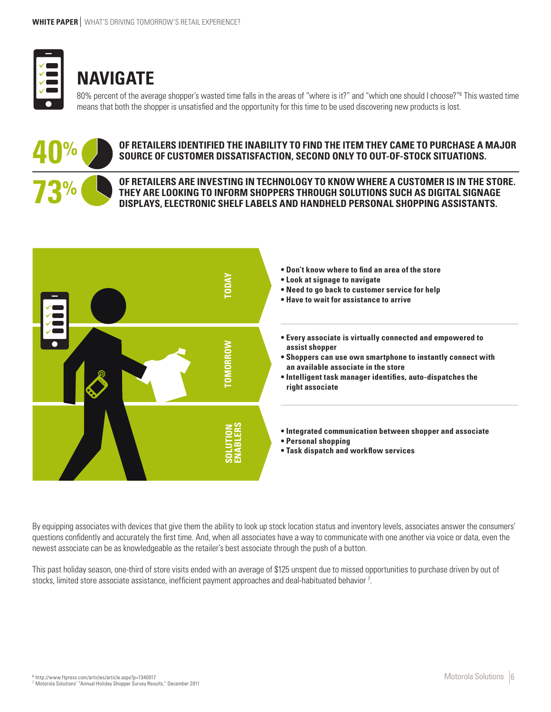

# **NAVIGATE**

80% percent of the average shopper's wasted time falls in the areas of "where is it?" and "which one should I choose?"<sup>6</sup> This wasted time means that both the shopper is unsatisfied and the opportunity for this time to be used discovering new products is lost.



#### **OF RETAILERS IDENTIFIED THE INABILITY TO FIND THE ITEM THEY CAME TO PURCHASE A MAJOR SOURCE OF CUSTOMER DISSATISFACTION, SECOND ONLY TO OUT-OF-STOCK SITUATIONS.**

**OF RETAILERS ARE INVESTING IN TECHNOLOGY TO KNOW WHERE A CUSTOMER IS IN THE STORE. THEY ARE LOOKING TO INFORM SHOPPERS THROUGH SOLUTIONS SUCH AS DIGITAL SIGNAGE DISPLAYS, ELECTRONIC SHELF LABELS AND HANDHELD PERSONAL SHOPPING ASSISTANTS.**



By equipping associates with devices that give them the ability to look up stock location status and inventory levels, associates answer the consumers' questions confidently and accurately the first time. And, when all associates have a way to communicate with one another via voice or data, even the newest associate can be as knowledgeable as the retailer's best associate through the push of a button.

This past holiday season, one-third of store visits ended with an average of \$125 unspent due to missed opportunities to purchase driven by out of stocks, limited store associate assistance, inefficient payment approaches and deal-habituated behavior 7.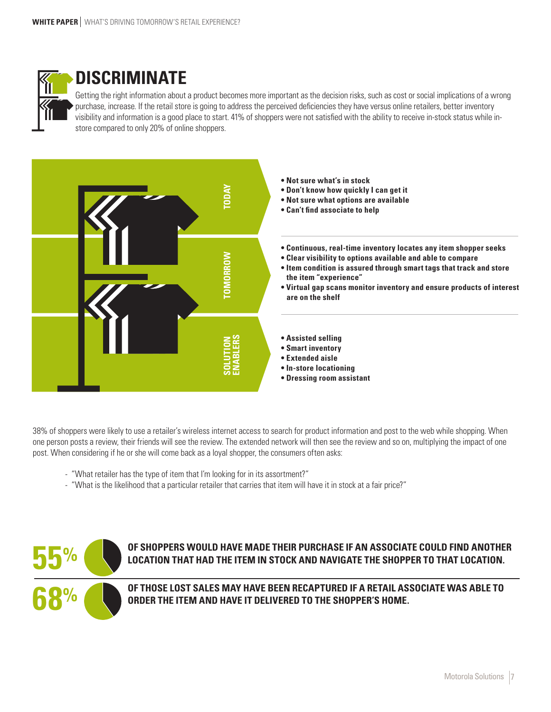

### **DISCRIMINATE**

Getting the right information about a product becomes more important as the decision risks, such as cost or social implications of a wrong purchase, increase. If the retail store is going to address the perceived deficiencies they have versus online retailers, better inventory visibility and information is a good place to start. 41% of shoppers were not satisfied with the ability to receive in-stock status while instore compared to only 20% of online shoppers.



38% of shoppers were likely to use a retailer's wireless internet access to search for product information and post to the web while shopping. When one person posts a review, their friends will see the review. The extended network will then see the review and so on, multiplying the impact of one post. When considering if he or she will come back as a loyal shopper, the consumers often asks:

- "What retailer has the type of item that I'm looking for in its assortment?"
- 



**OF SHOPPERS WOULD HAVE MADE THEIR PURCHASE IF AN ASSOCIATE COULD FIND ANOTHER LOCATION THAT HAD THE ITEM IN STOCK AND NAVIGATE THE SHOPPER TO THAT LOCATION.**

**OF THOSE LOST SALES MAY HAVE BEEN RECAPTURED IF A RETAIL ASSOCIATE WAS ABLE TO ORDER THE ITEM AND HAVE IT DELIVERED TO THE SHOPPER'S HOME.**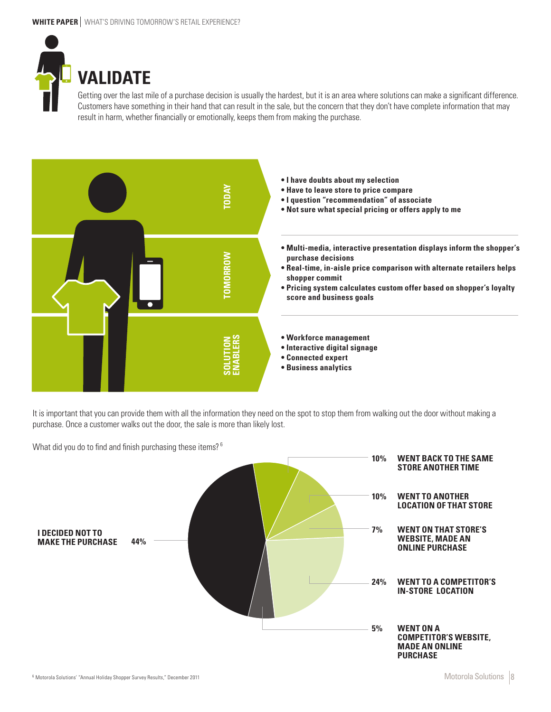

Getting over the last mile of a purchase decision is usually the hardest, but it is an area where solutions can make a significant difference. Customers have something in their hand that can result in the sale, but the concern that they don't have complete information that may result in harm, whether financially or emotionally, keeps them from making the purchase.



It is important that you can provide them with all the information they need on the spot to stop them from walking out the door without making a purchase. Once a customer walks out the door, the sale is more than likely lost.

What did you do to find and finish purchasing these items?<sup>6</sup>

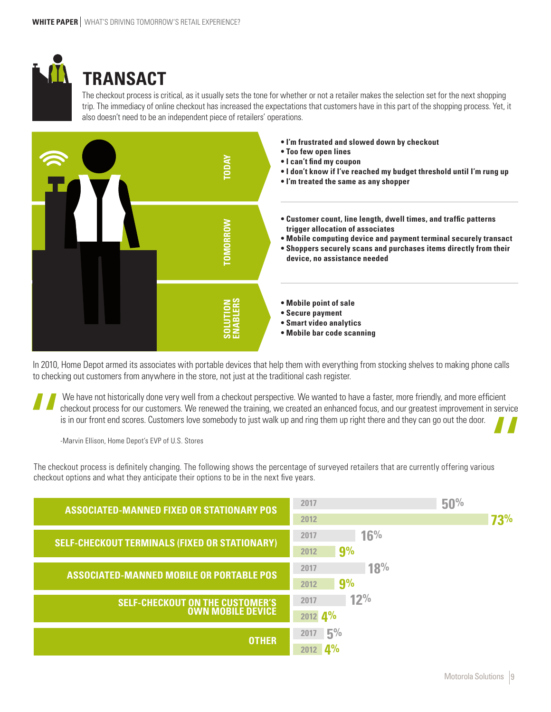

# **TRANSACT**

The checkout process is critical, as it usually sets the tone for whether or not a retailer makes the selection set for the next shopping trip. The immediacy of online checkout has increased the expectations that customers have in this part of the shopping process. Yet, it also doesn't need to be an independent piece of retailers' operations.



In 2010, Home Depot armed its associates with portable devices that help them with everything from stocking shelves to making phone calls to checking out customers from anywhere in the store, not just at the traditional cash register.

We have not historically done very well from a checkout perspective. We wanted to have a faster, more friendly, and more efficient checkout process for our customers. We renewed the training, we created an enhanced focus, and our greatest improvement in service is in our front end scores. Customers love somebody to just walk up and ring them up right there and they can go out the door.

-Marvin Ellison, Home Depot's EVP of U.S. Stores

The checkout process is definitely changing. The following shows the percentage of surveyed retailers that are currently offering various checkout options and what they anticipate their options to be in the next five years.

| <b>ASSOCIATED-MANNED FIXED OR STATIONARY POS</b>                   | 2017                | 50% |
|--------------------------------------------------------------------|---------------------|-----|
|                                                                    | 2012                | 73% |
| <b>SELF-CHECKOUT TERMINALS (FIXED OR STATIONARY)</b>               | 16%<br>2017         |     |
|                                                                    | 9%<br>2012          |     |
| <b>ASSOCIATED-MANNED MOBILE OR PORTABLE POS</b>                    | 18%<br>2017         |     |
|                                                                    | 9%<br>2012          |     |
| <b>SELF-CHECKOUT ON THE CUSTOMER'S</b><br><b>OWN MOBILE DEVICE</b> | 12%<br>2017         |     |
|                                                                    | 2012 4%             |     |
| <b>OTHER</b>                                                       | $-5%$<br>2017       |     |
|                                                                    | $\mathbf{\Omega}\%$ |     |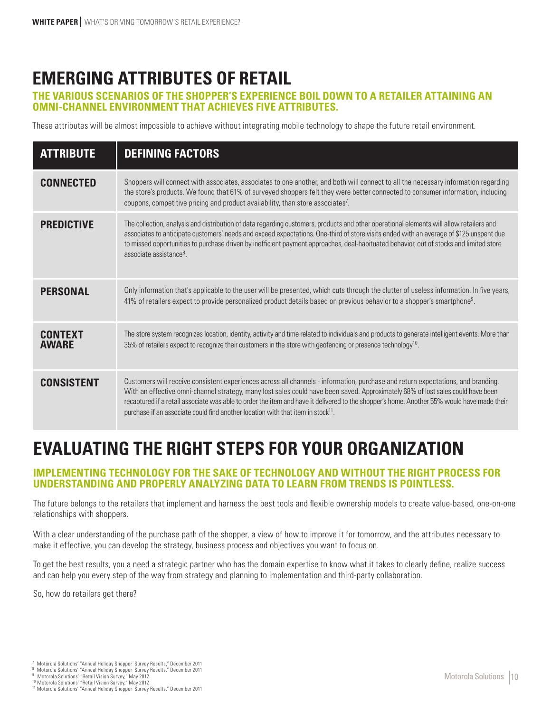## **EMERGING ATTRIBUTES OF RETAIL**

#### **THE VARIOUS SCENARIOS OF THE SHOPPER'S EXPERIENCE BOIL DOWN TO A RETAILER ATTAINING AN OMNI-CHANNEL ENVIRONMENT THAT ACHIEVES FIVE ATTRIBUTES.**

These attributes will be almost impossible to achieve without integrating mobile technology to shape the future retail environment.

| <b>ATTRIBUTE</b>               | <b>DEFINING FACTORS</b>                                                                                                                                                                                                                                                                                                                                                                                                                                                                                           |
|--------------------------------|-------------------------------------------------------------------------------------------------------------------------------------------------------------------------------------------------------------------------------------------------------------------------------------------------------------------------------------------------------------------------------------------------------------------------------------------------------------------------------------------------------------------|
| <b>CONNECTED</b>               | Shoppers will connect with associates, associates to one another, and both will connect to all the necessary information regarding<br>the store's products. We found that 61% of surveyed shoppers felt they were better connected to consumer information, including<br>coupons, competitive pricing and product availability, than store associates <sup>7</sup> .                                                                                                                                              |
| <b>PREDICTIVE</b>              | The collection, analysis and distribution of data regarding customers, products and other operational elements will allow retailers and<br>associates to anticipate customers' needs and exceed expectations. One-third of store visits ended with an average of \$125 unspent due<br>to missed opportunities to purchase driven by inefficient payment approaches, deal-habituated behavior, out of stocks and limited store<br>associate assistance <sup>8</sup>                                                |
| <b>PERSONAL</b>                | Only information that's applicable to the user will be presented, which cuts through the clutter of useless information. In five years,<br>41% of retailers expect to provide personalized product details based on previous behavior to a shopper's smartphone <sup>9</sup> .                                                                                                                                                                                                                                    |
| <b>CONTEXT</b><br><b>AWARF</b> | The store system recognizes location, identity, activity and time related to individuals and products to generate intelligent events. More than<br>35% of retailers expect to recognize their customers in the store with geofencing or presence technology <sup>10</sup> .                                                                                                                                                                                                                                       |
| <b>CONSISTENT</b>              | Customers will receive consistent experiences across all channels - information, purchase and return expectations, and branding.<br>With an effective omni-channel strategy, many lost sales could have been saved. Approximately 68% of lost sales could have been<br>recaptured if a retail associate was able to order the item and have it delivered to the shopper's home. Another 55% would have made their<br>purchase if an associate could find another location with that item in stock <sup>11</sup> . |

### **EVALUATING THE RIGHT STEPS FOR YOUR ORGANIZATION**

#### **IMPLEMENTING TECHNOLOGY FOR THE SAKE OF TECHNOLOGY AND WITHOUT THE RIGHT PROCESS FOR UNDERSTANDING AND PROPERLY ANALYZING DATA TO LEARN FROM TRENDS IS POINTLESS.**

The future belongs to the retailers that implement and harness the best tools and flexible ownership models to create value-based, one-on-one relationships with shoppers.

With a clear understanding of the purchase path of the shopper, a view of how to improve it for tomorrow, and the attributes necessary to make it effective, you can develop the strategy, business process and objectives you want to focus on.

To get the best results, you a need a strategic partner who has the domain expertise to know what it takes to clearly define, realize success and can help you every step of the way from strategy and planning to implementation and third-party collaboration.

So, how do retailers get there?

Motorola Solutions' "Annual Holiday Shopper Survey Results," December 2011

<sup>&</sup>lt;sup>8</sup> Motorola Solutions' "Annual Holiday Shopper Survey Results," December 2011<br><sup>9</sup> Motorola Solutions' "Retail Vision Survey," May 2012

<sup>&</sup>lt;sup>10</sup> Motorola Solutions' "Retail Vision Survey," May 2012<br><sup>11</sup> Motorola Solutions' "Annual Holiday Shopper Survey Results," December 2011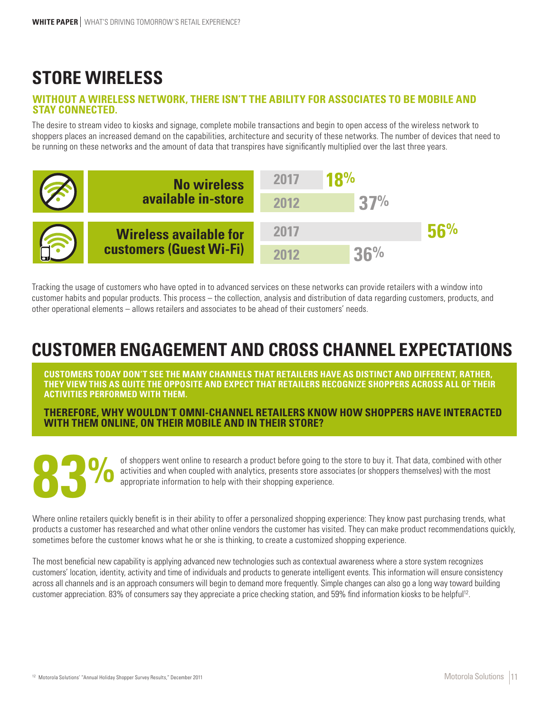# **STORE WIRELESS**

#### **WITHOUT A WIRELESS NETWORK, THERE ISN'T THE ABILITY FOR ASSOCIATES TO BE MOBILE AND STAY CONNECTED.**

The desire to stream video to kiosks and signage, complete mobile transactions and begin to open access of the wireless network to shoppers places an increased demand on the capabilities, architecture and security of these networks. The number of devices that need to be running on these networks and the amount of data that transpires have significantly multiplied over the last three years.



Tracking the usage of customers who have opted in to advanced services on these networks can provide retailers with a window into customer habits and popular products. This process – the collection, analysis and distribution of data regarding customers, products, and other operational elements – allows retailers and associates to be ahead of their customers' needs.

## **CUSTOMER ENGAGEMENT AND CROSS CHANNEL EXPECTATIONS**

**CUSTOMERS TODAY DON'T SEE THE MANY CHANNELS THAT RETAILERS HAVE AS DISTINCT AND DIFFERENT, RATHER, THEY VIEW THIS AS QUITE THE OPPOSITE AND EXPECT THAT RETAILERS RECOGNIZE SHOPPERS ACROSS ALL OF THEIR ACTIVITIES PERFORMED WITH THEM.**

**THEREFORE, WHY WOULDN'T OMNI-CHANNEL RETAILERS KNOW HOW SHOPPERS HAVE INTERACTED WITH THEM ONLINE, ON THEIR MOBILE AND IN THEIR STORE?**

**83%**

of shoppers went online to research a product before going to the store to buy it. That data, combined with other activities and when coupled with analytics, presents store associates (or shoppers themselves) with the most appropriate information to help with their shopping experience.

Where online retailers quickly benefit is in their ability to offer a personalized shopping experience: They know past purchasing trends, what products a customer has researched and what other online vendors the customer has visited. They can make product recommendations quickly, sometimes before the customer knows what he or she is thinking, to create a customized shopping experience.

The most beneficial new capability is applying advanced new technologies such as contextual awareness where a store system recognizes customers' location, identity, activity and time of individuals and products to generate intelligent events. This information will ensure consistency across all channels and is an approach consumers will begin to demand more frequently. Simple changes can also go a long way toward building customer appreciation. 83% of consumers say they appreciate a price checking station, and 59% find information kiosks to be helpful<sup>12</sup>.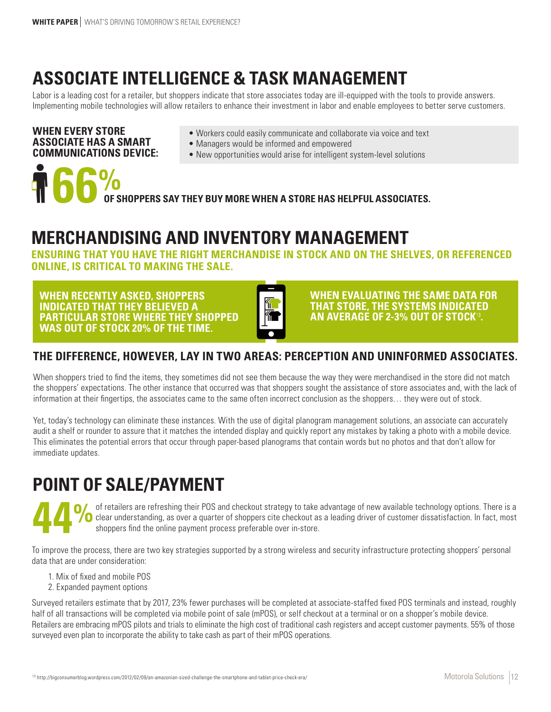# **ASSOCIATE INTELLIGENCE & TASK MANAGEMENT**

Labor is a leading cost for a retailer, but shoppers indicate that store associates today are ill-equipped with the tools to provide answers. Implementing mobile technologies will allow retailers to enhance their investment in labor and enable employees to better serve customers.

#### **WHEN EVERY STORE ASSOCIATE HAS A SMART COMMUNICATIONS DEVICE:**

- Workers could easily communicate and collaborate via voice and text
- Managers would be informed and empowered
- New opportunities would arise for intelligent system-level solutions

**66 OF SHOPPERS SAY THEY BUY MORE WHEN A STORE HAS HELPFUL ASSOCIATES.** *T* 66%

### **MERCHANDISING AND INVENTORY MANAGEMENT**

**ENSURING THAT YOU HAVE THE RIGHT MERCHANDISE IN STOCK AND ON THE SHELVES, OR REFERENCED ONLINE, IS CRITICAL TO MAKING THE SALE.** 

**WHEN RECENTLY ASKED, SHOPPERS INDICATED THAT THEY BELIEVED A PARTICULAR STORE WHERE THEY SHOPPED WAS OUT OF STOCK 20% OF THE TIME.**



**WHEN EVALUATING THE SAME DATA FOR THAT STORE, THE SYSTEMS INDICATED AN AVERAGE OF 2-3% OUT OF STOCK .**

### **THE DIFFERENCE, HOWEVER, LAY IN TWO AREAS: PERCEPTION AND UNINFORMED ASSOCIATES.**

When shoppers tried to find the items, they sometimes did not see them because the way they were merchandised in the store did not match the shoppers' expectations. The other instance that occurred was that shoppers sought the assistance of store associates and, with the lack of information at their fingertips, the associates came to the same often incorrect conclusion as the shoppers… they were out of stock.

Yet, today's technology can eliminate these instances. With the use of digital planogram management solutions, an associate can accurately audit a shelf or rounder to assure that it matches the intended display and quickly report any mistakes by taking a photo with a mobile device. This eliminates the potential errors that occur through paper-based planograms that contain words but no photos and that don't allow for immediate updates.

# **POINT OF SALE/PAYMENT**

of retailers are refreshing their POS and checkout strategy to take advantage of new available technology options. There is a **O** clear understanding, as over a quarter of shoppers cite checkout as a leading driver of customer dissatisfaction. In fact, most shoppers find the online payment process preferable over in-store.

To improve the process, there are two key strategies supported by a strong wireless and security infrastructure protecting shoppers' personal data that are under consideration:

- 1. Mix of fixed and mobile POS
- 2. Expanded payment options

Surveyed retailers estimate that by 2017, 23% fewer purchases will be completed at associate-staffed fixed POS terminals and instead, roughly half of all transactions will be completed via mobile point of sale (mPOS), or self checkout at a terminal or on a shopper's mobile device. Retailers are embracing mPOS pilots and trials to eliminate the high cost of traditional cash registers and accept customer payments. 55% of those surveyed even plan to incorporate the ability to take cash as part of their mPOS operations.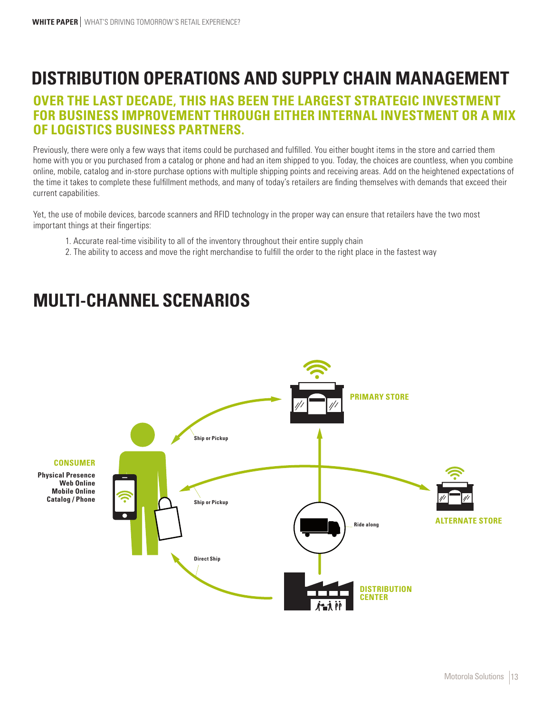### **DISTRIBUTION OPERATIONS AND SUPPLY CHAIN MANAGEMENT**

### **OVER THE LAST DECADE, THIS HAS BEEN THE LARGEST STRATEGIC INVESTMENT FOR BUSINESS IMPROVEMENT THROUGH EITHER INTERNAL INVESTMENT OR A MIX OF LOGISTICS BUSINESS PARTNERS.**

Previously, there were only a few ways that items could be purchased and fulfilled. You either bought items in the store and carried them home with you or you purchased from a catalog or phone and had an item shipped to you. Today, the choices are countless, when you combine online, mobile, catalog and in-store purchase options with multiple shipping points and receiving areas. Add on the heightened expectations of the time it takes to complete these fulfillment methods, and many of today's retailers are finding themselves with demands that exceed their current capabilities.

Yet, the use of mobile devices, barcode scanners and RFID technology in the proper way can ensure that retailers have the two most important things at their fingertips:

- 1. Accurate real-time visibility to all of the inventory throughout their entire supply chain
- 2. The ability to access and move the right merchandise to fulfill the order to the right place in the fastest way

### **MULTI-CHANNEL SCENARIOS**

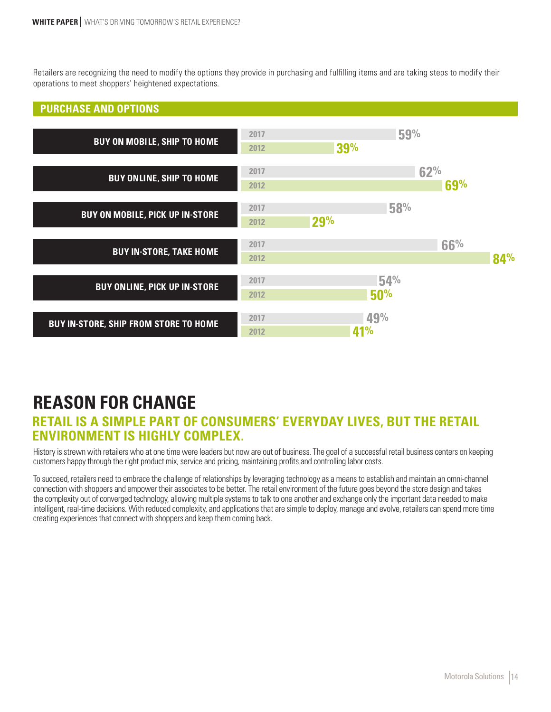Retailers are recognizing the need to modify the options they provide in purchasing and fulfilling items and are taking steps to modify their operations to meet shoppers' heightened expectations.

#### **PURCHASE AND OPTIONS**

| <b>BUY ON MOBILE, SHIP TO HOME</b>           | 2017<br>2012 | 59%<br>39%        |            |     |
|----------------------------------------------|--------------|-------------------|------------|-----|
| <b>BUY ONLINE, SHIP TO HOME</b>              | 2017<br>2012 |                   | 62%<br>69% |     |
| <b>BUY ON MOBILE, PICK UP IN-STORE</b>       | 2017<br>2012 | 58%<br>29%        |            |     |
| <b>BUY IN-STORE, TAKE HOME</b>               | 2017<br>2012 |                   | 66%        | 84% |
| <b>BUY ONLINE, PICK UP IN-STORE</b>          | 2017<br>2012 | 54%<br>50%        |            |     |
| <b>BUY IN-STORE, SHIP FROM STORE TO HOME</b> | 2017<br>2012 | 49%<br><b>41%</b> |            |     |

### **REASON FOR CHANGE**

### **RETAIL IS A SIMPLE PART OF CONSUMERS' EVERYDAY LIVES, BUT THE RETAIL ENVIRONMENT IS HIGHLY COMPLEX.**

History is strewn with retailers who at one time were leaders but now are out of business. The goal of a successful retail business centers on keeping customers happy through the right product mix, service and pricing, maintaining profits and controlling labor costs.

To succeed, retailers need to embrace the challenge of relationships by leveraging technology as a means to establish and maintain an omni-channel connection with shoppers and empower their associates to be better. The retail environment of the future goes beyond the store design and takes the complexity out of converged technology, allowing multiple systems to talk to one another and exchange only the important data needed to make intelligent, real-time decisions. With reduced complexity, and applications that are simple to deploy, manage and evolve, retailers can spend more time creating experiences that connect with shoppers and keep them coming back.